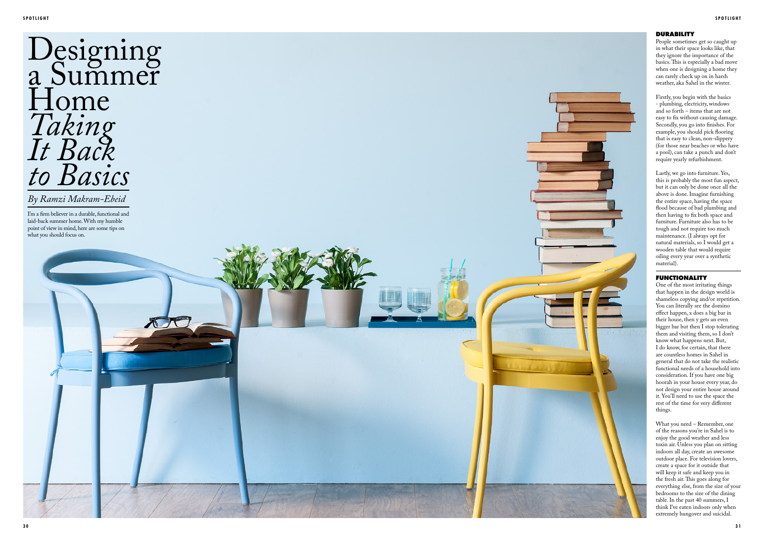*By Ramzi Makram-Ebeid*



I'm a firm believer in a durable, functional and laid-back summer home. With my humble point of view in mind, here are some tips on what you should focus on.

### **DURABILITY**

People sometimes get so caught up in what their space looks like, that they ignore the importance of the basics. This is especially a bad move when one is designing a home they can rarely check up on in harsh weather, aka Sahel in the winter.

Firstly, you begin with the basics - plumbing, electricity, windows and so forth – items that are not easy to fix without causing damage. Secondly, you go into finishes. For example, you should pick flooring that is easy to clean, non-slippery (for those near beaches or who have a pool), can take a punch and don't require yearly refurbishment.

Lastly, we go into furniture. Yes, this is probably the most fun aspect, but it can only be done once all the above is done. Imagine furnishing the entire space, having the space flood because of bad plumbing and then having to fix both space and furniture. Furniture also has to be tough and not require too much maintenance. (I always opt for natural materials, so I would get a wooden table that would require oiling every year over a synthetic material).

#### **FUNCTIONALITY**

One of the most irritating things that happen in the design world is shameless copying and/or repetition. You can literally see the domino effect happen, x does a big bar in their house, then y gets an even bigger bar but then I stop tolerating them and visiting them, so I don't know what happens next. But, I do know, for certain, that there are countless homes in Sahel in general that do not take the realistic functional needs of a household into consideration. If you have one big hoorah in your house every year, do not design your entire house around it. You'll need to use the space the rest of the time for very different things.

What you need – Remember, one of the reasons you're in Sahel is to enjoy the good weather and less toxin air. Unless you plan on sitting indoors all day, create an awesome outdoor place. For television lovers, create a space for it outside that will keep it safe and keep you in the fresh air. This goes along for everything else, from the size of your bedrooms to the size of the dining table. In the past 40 summers, I think I've eaten indoors only when extremely hungover and suicidal.